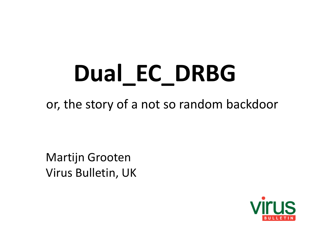# **Dual\_EC\_DRBG**

or, the story of a not so random backdoor

Martijn Grooten Virus Bulletin, UK

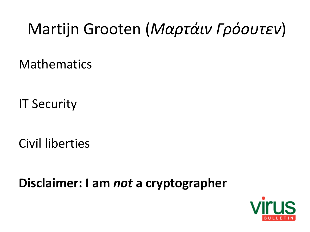#### Martijn Grooten (*Μαρτάιν Γρόουτεν*)

**Mathematics** 

IT Security

Civil liberties

**Disclaimer: I am** *not* **a cryptographer**

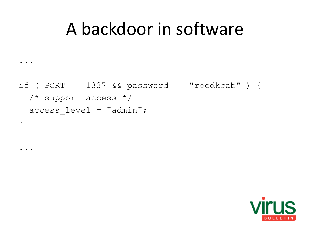#### A backdoor in software

```
if ( PORT == 1337 && password == "roodkcab" ) {
  /* support access */
  access level = "admin";
}
```
...

...

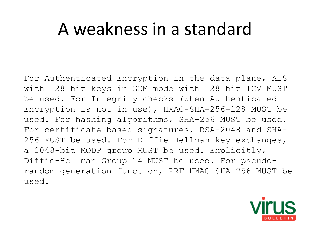#### A weakness in a standard

For Authenticated Encryption in the data plane, AES with 128 bit keys in GCM mode with 128 bit ICV MUST be used. For Integrity checks (when Authenticated Encryption is not in use), HMAC-SHA-256-128 MUST be used. For hashing algorithms, SHA-256 MUST be used. For certificate based signatures, RSA-2048 and SHA-256 MUST be used. For Diffie-Hellman key exchanges, a 2048-bit MODP group MUST be used. Explicitly, Diffie-Hellman Group 14 MUST be used. For pseudorandom generation function, PRF-HMAC-SHA-256 MUST be used.

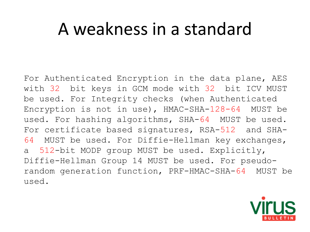#### A weakness in a standard

For Authenticated Encryption in the data plane, AES with 32 bit keys in GCM mode with 32 bit ICV MUST be used. For Integrity checks (when Authenticated Encryption is not in use), HMAC-SHA-128-64 MUST be used. For hashing algorithms, SHA-64 MUST be used. For certificate based signatures, RSA-512 and SHA-64 MUST be used. For Diffie-Hellman key exchanges, a 512-bit MODP group MUST be used. Explicitly, Diffie-Hellman Group 14 MUST be used. For pseudorandom generation function, PRF-HMAC-SHA-64 MUST be used.

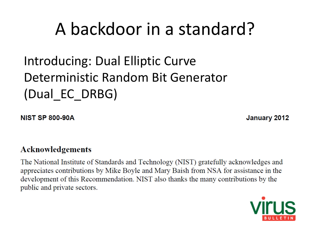#### A backdoor in a standard?

#### Introducing: Dual Elliptic Curve Deterministic Random Bit Generator (Dual\_EC\_DRBG)

**NIST SP 800-90A** 

January 2012

#### **Acknowledgements**

The National Institute of Standards and Technology (NIST) gratefully acknowledges and appreciates contributions by Mike Boyle and Mary Baish from NSA for assistance in the development of this Recommendation. NIST also thanks the many contributions by the public and private sectors.

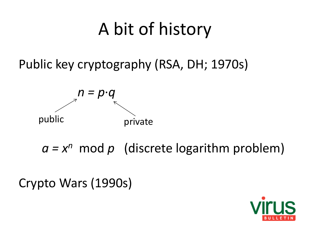# A bit of history

Public key cryptography (RSA, DH; 1970s)



 $a = x^n \mod p$  (discrete logarithm problem)

Crypto Wars (1990s)

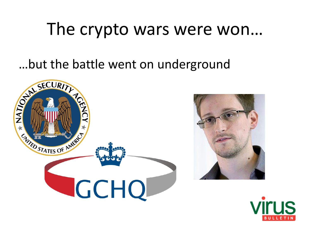#### The crypto wars were won…



**IIS**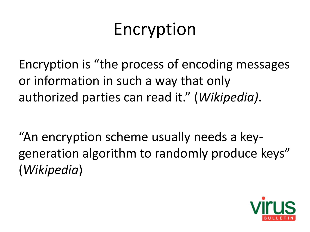# Encryption

Encryption is "the process of encoding messages or information in such a way that only authorized parties can read it." (*Wikipedia)*.

"An encryption scheme usually needs a keygeneration algorithm to randomly produce keys" (*Wikipedia*)

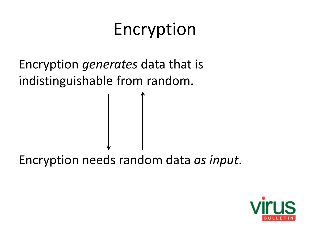# Encryption

#### Encryption *generates* data that is indistinguishable from random.

Encryption needs random data *as input*.

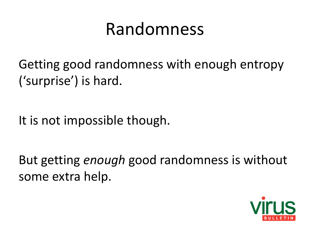#### Randomness

Getting good randomness with enough entropy ('surprise') is hard.

It is not impossible though.

But getting *enough* good randomness is without some extra help.

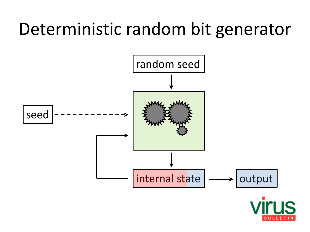#### Deterministic random bit generator

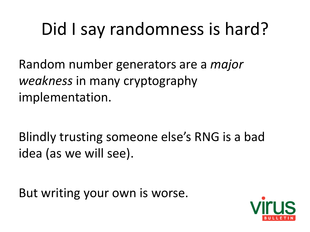# Did I say randomness is hard?

Random number generators are a *major weakness* in many cryptography implementation.

Blindly trusting someone else's RNG is a bad idea (as we will see).

But writing your own is worse.

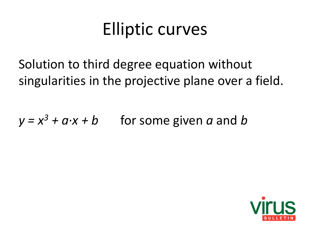#### Elliptic curves

Solution to third degree equation without singularities in the projective plane over a field.

 $y = x^3 + a \cdot x + b$  for some given *a* and *b* 

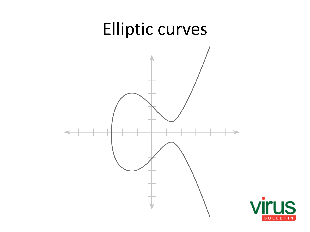

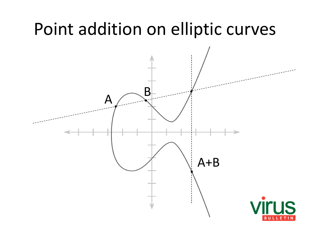#### Point addition on elliptic curves

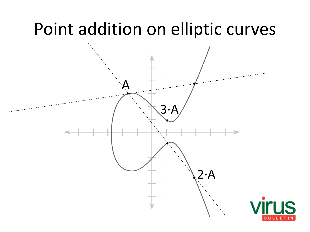#### Point addition on elliptic curves

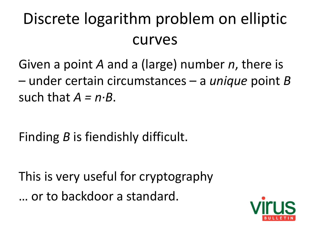#### Discrete logarithm problem on elliptic curves

Given a point *A* and a (large) number *n*, there is – under certain circumstances – a *unique* point *B* such that  $A = n \cdot B$ .

Finding *B* is fiendishly difficult.

This is very useful for cryptography … or to backdoor a standard.

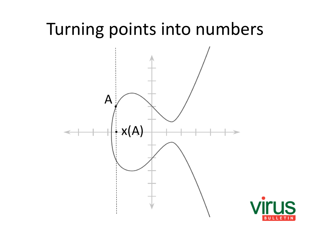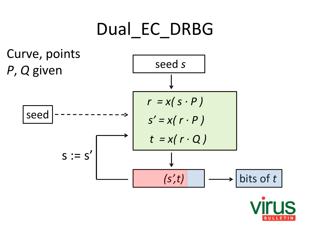#### Dual EC\_DRBG

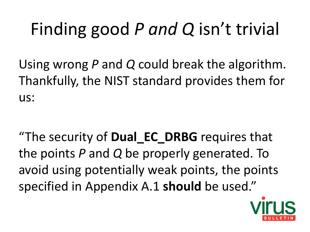# Finding good *P and Q* isn't trivial

Using wrong *P* and *Q* could break the algorithm. Thankfully, the NIST standard provides them for us:

"The security of **Dual\_EC\_DRBG** requires that the points *P* and *Q* be properly generated. To avoid using potentially weak points, the points specified in Appendix A.1 **should** be used."

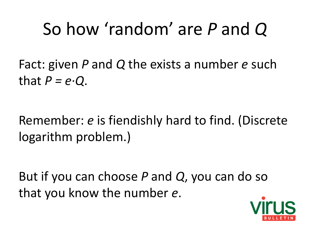#### So how 'random' are *P* and *Q*

Fact: given *P* and *Q* the exists a number *e* such that  $P = e \cdot Q$ .

Remember: *e* is fiendishly hard to find. (Discrete logarithm problem.)

But if you can choose *P* and *Q*, you can do so that you know the number *e*.

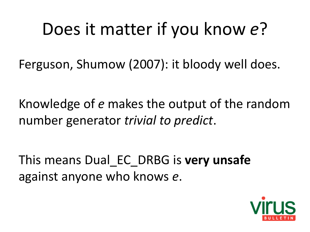#### Does it matter if you know *e*?

Ferguson, Shumow (2007): it bloody well does.

Knowledge of *e* makes the output of the random number generator *trivial to predict*.

This means Dual\_EC\_DRBG is **very unsafe** against anyone who knows *e*.

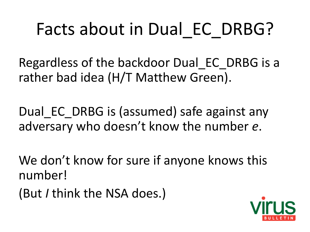# Facts about in Dual EC DRBG?

Regardless of the backdoor Dual\_EC\_DRBG is a rather bad idea (H/T Matthew Green).

Dual EC DRBG is (assumed) safe against any adversary who doesn't know the number *e*.

We don't know for sure if anyone knows this number! (But *I* think the NSA does.)

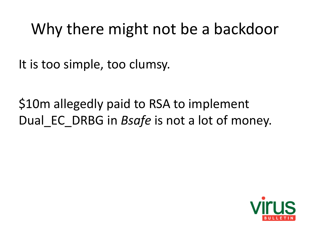#### Why there might not be a backdoor

It is too simple, too clumsy.

\$10m allegedly paid to RSA to implement Dual EC DRBG in *Bsafe* is not a lot of money.

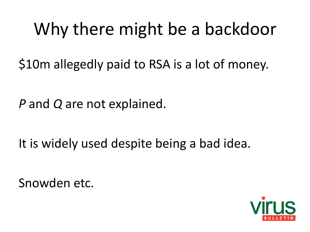#### Why there might be a backdoor

\$10m allegedly paid to RSA is a lot of money.

*P* and *Q* are not explained.

It is widely used despite being a bad idea.

Snowden etc.

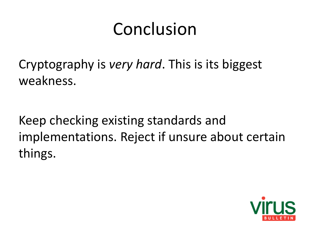#### Conclusion

Cryptography is *very hard*. This is its biggest weakness.

Keep checking existing standards and implementations. Reject if unsure about certain things.